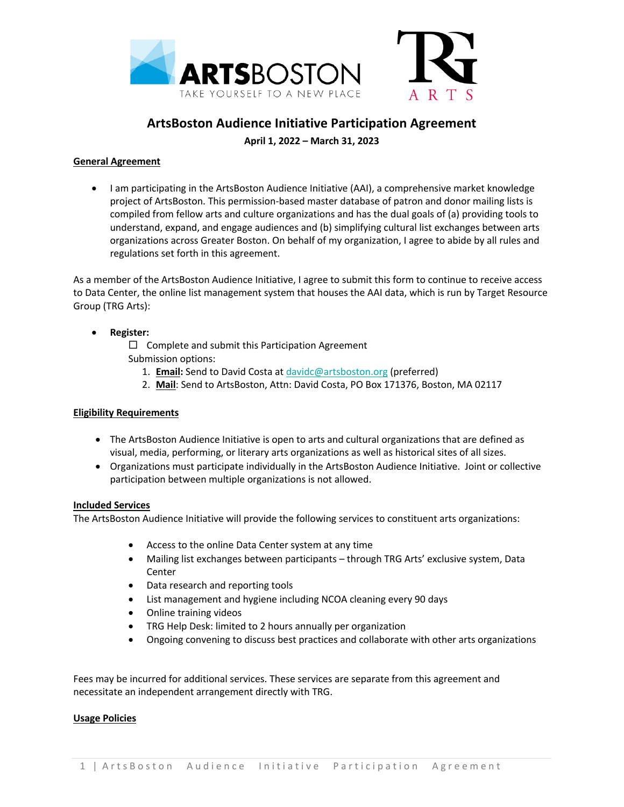

# **ArtsBoston Audience Initiative Participation Agreement**

**April 1, 2022 – March 31, 2023**

# **General Agreement**

• I am participating in the ArtsBoston Audience Initiative (AAI), a comprehensive market knowledge project of ArtsBoston. This permission-based master database of patron and donor mailing lists is compiled from fellow arts and culture organizations and has the dual goals of (a) providing tools to understand, expand, and engage audiences and (b) simplifying cultural list exchanges between arts organizations across Greater Boston. On behalf of my organization, I agree to abide by all rules and regulations set forth in this agreement.

As a member of the ArtsBoston Audience Initiative, I agree to submit this form to continue to receive access to Data Center, the online list management system that houses the AAI data, which is run by Target Resource Group (TRG Arts):

# • **Register:**

 $\square$  Complete and submit this Participation Agreement Submission options:

- 1. **Email:** Send to David Costa at davidc@artsboston.org (preferred)
- 2. **Mail**: Send to ArtsBoston, Attn: David Costa, PO Box 171376, Boston, MA 02117

# **Eligibility Requirements**

- The ArtsBoston Audience Initiative is open to arts and cultural organizations that are defined as visual, media, performing, or literary arts organizations as well as historical sites of all sizes.
- Organizations must participate individually in the ArtsBoston Audience Initiative. Joint or collective participation between multiple organizations is not allowed.

#### **Included Services**

The ArtsBoston Audience Initiative will provide the following services to constituent arts organizations:

- Access to the online Data Center system at any time
- Mailing list exchanges between participants through TRG Arts' exclusive system, Data Center
- Data research and reporting tools
- List management and hygiene including NCOA cleaning every 90 days
- Online training videos
- TRG Help Desk: limited to 2 hours annually per organization
- Ongoing convening to discuss best practices and collaborate with other arts organizations

Fees may be incurred for additional services. These services are separate from this agreement and necessitate an independent arrangement directly with TRG.

#### **Usage Policies**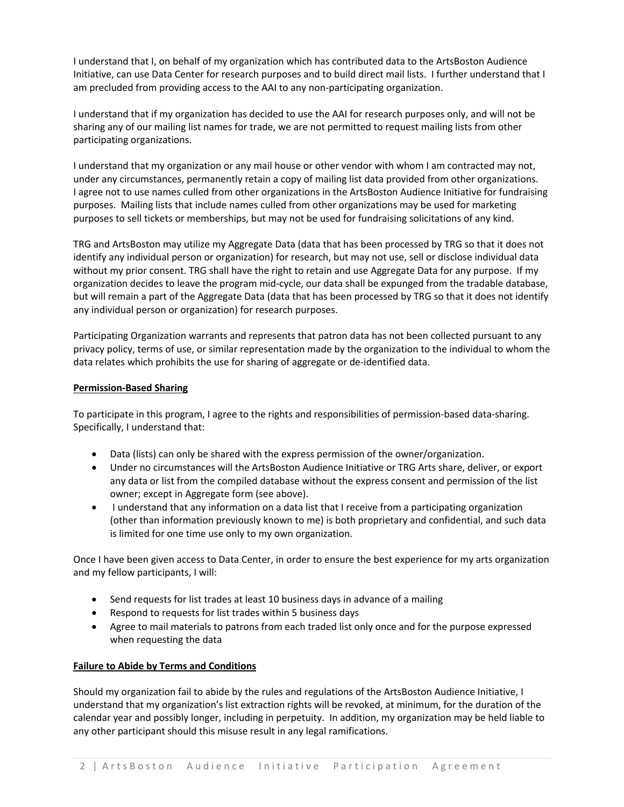I understand that I, on behalf of my organization which has contributed data to the ArtsBoston Audience Initiative, can use Data Center for research purposes and to build direct mail lists. I further understand that I am precluded from providing access to the AAI to any non-participating organization.

I understand that if my organization has decided to use the AAI for research purposes only, and will not be sharing any of our mailing list names for trade, we are not permitted to request mailing lists from other participating organizations.

I understand that my organization or any mail house or other vendor with whom I am contracted may not, under any circumstances, permanently retain a copy of mailing list data provided from other organizations. I agree not to use names culled from other organizations in the ArtsBoston Audience Initiative for fundraising purposes. Mailing lists that include names culled from other organizations may be used for marketing purposes to sell tickets or memberships, but may not be used for fundraising solicitations of any kind.

TRG and ArtsBoston may utilize my Aggregate Data (data that has been processed by TRG so that it does not identify any individual person or organization) for research, but may not use, sell or disclose individual data without my prior consent. TRG shall have the right to retain and use Aggregate Data for any purpose. If my organization decides to leave the program mid-cycle, our data shall be expunged from the tradable database, but will remain a part of the Aggregate Data (data that has been processed by TRG so that it does not identify any individual person or organization) for research purposes.

Participating Organization warrants and represents that patron data has not been collected pursuant to any privacy policy, terms of use, or similar representation made by the organization to the individual to whom the data relates which prohibits the use for sharing of aggregate or de-identified data.

### **Permission-Based Sharing**

To participate in this program, I agree to the rights and responsibilities of permission-based data-sharing. Specifically, I understand that:

- Data (lists) can only be shared with the express permission of the owner/organization.
- Under no circumstances will the ArtsBoston Audience Initiative or TRG Arts share, deliver, or export any data or list from the compiled database without the express consent and permission of the list owner; except in Aggregate form (see above).
- I understand that any information on a data list that I receive from a participating organization (other than information previously known to me) is both proprietary and confidential, and such data is limited for one time use only to my own organization.

Once I have been given access to Data Center, in order to ensure the best experience for my arts organization and my fellow participants, I will:

- Send requests for list trades at least 10 business days in advance of a mailing
- Respond to requests for list trades within 5 business days
- Agree to mail materials to patrons from each traded list only once and for the purpose expressed when requesting the data

#### **Failure to Abide by Terms and Conditions**

Should my organization fail to abide by the rules and regulations of the ArtsBoston Audience Initiative, I understand that my organization's list extraction rights will be revoked, at minimum, for the duration of the calendar year and possibly longer, including in perpetuity. In addition, my organization may be held liable to any other participant should this misuse result in any legal ramifications.